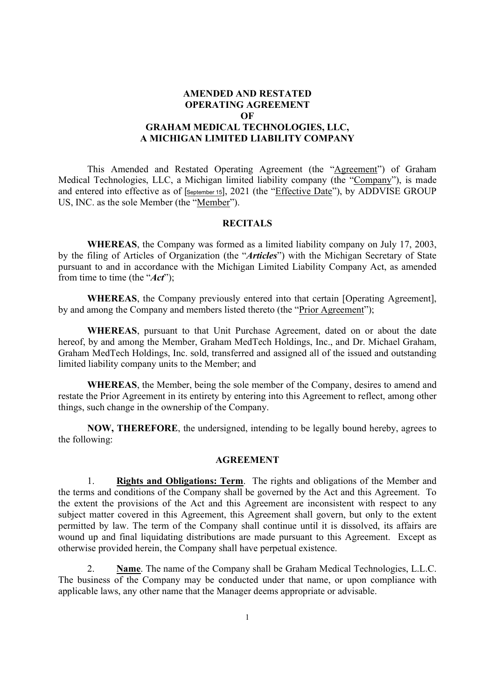## AMENDED AND RESTATED OPERATING AGREEMENT OF GRAHAM MEDICAL TECHNOLOGIES, LLC, A MICHIGAN LIMITED LIABILITY COMPANY

This Amended and Restated Operating Agreement (the "Agreement") of Graham Medical Technologies, LLC, a Michigan limited liability company (the "Company"), is made and entered into effective as of [September 15], 2021 (the "Effective Date"), by ADDVISE GROUP US, INC. as the sole Member (the "Member").

### **RECITALS**

 WHEREAS, the Company was formed as a limited liability company on July 17, 2003, by the filing of Articles of Organization (the "Articles") with the Michigan Secretary of State pursuant to and in accordance with the Michigan Limited Liability Company Act, as amended from time to time (the " $Act$ ");

WHEREAS, the Company previously entered into that certain [Operating Agreement], by and among the Company and members listed thereto (the "Prior Agreement");

WHEREAS, pursuant to that Unit Purchase Agreement, dated on or about the date hereof, by and among the Member, Graham MedTech Holdings, Inc., and Dr. Michael Graham, Graham MedTech Holdings, Inc. sold, transferred and assigned all of the issued and outstanding limited liability company units to the Member; and

WHEREAS, the Member, being the sole member of the Company, desires to amend and restate the Prior Agreement in its entirety by entering into this Agreement to reflect, among other things, such change in the ownership of the Company.

 NOW, THEREFORE, the undersigned, intending to be legally bound hereby, agrees to the following:

### AGREEMENT

1. Rights and Obligations: Term. The rights and obligations of the Member and the terms and conditions of the Company shall be governed by the Act and this Agreement. To the extent the provisions of the Act and this Agreement are inconsistent with respect to any subject matter covered in this Agreement, this Agreement shall govern, but only to the extent permitted by law. The term of the Company shall continue until it is dissolved, its affairs are wound up and final liquidating distributions are made pursuant to this Agreement. Except as otherwise provided herein, the Company shall have perpetual existence.

2. Name. The name of the Company shall be Graham Medical Technologies, L.L.C. The business of the Company may be conducted under that name, or upon compliance with applicable laws, any other name that the Manager deems appropriate or advisable.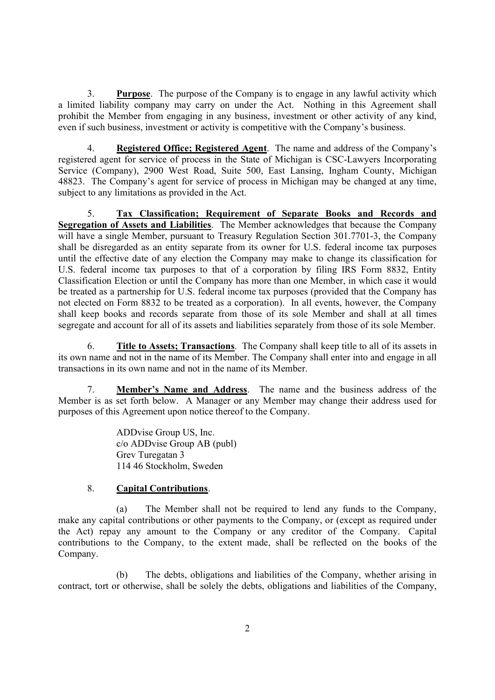3. Purpose. The purpose of the Company is to engage in any lawful activity which a limited liability company may carry on under the Act. Nothing in this Agreement shall prohibit the Member from engaging in any business, investment or other activity of any kind, even if such business, investment or activity is competitive with the Company's business.

4. Registered Office; Registered Agent. The name and address of the Company's registered agent for service of process in the State of Michigan is CSC-Lawyers Incorporating Service (Company), 2900 West Road, Suite 500, East Lansing, Ingham County, Michigan 48823. The Company's agent for service of process in Michigan may be changed at any time, subject to any limitations as provided in the Act.

5. Tax Classification; Requirement of Separate Books and Records and Segregation of Assets and Liabilities. The Member acknowledges that because the Company will have a single Member, pursuant to Treasury Regulation Section 301.7701-3, the Company shall be disregarded as an entity separate from its owner for U.S. federal income tax purposes until the effective date of any election the Company may make to change its classification for U.S. federal income tax purposes to that of a corporation by filing IRS Form 8832, Entity Classification Election or until the Company has more than one Member, in which case it would be treated as a partnership for U.S. federal income tax purposes (provided that the Company has not elected on Form 8832 to be treated as a corporation). In all events, however, the Company shall keep books and records separate from those of its sole Member and shall at all times segregate and account for all of its assets and liabilities separately from those of its sole Member.

6. Title to Assets; Transactions. The Company shall keep title to all of its assets in its own name and not in the name of its Member. The Company shall enter into and engage in all transactions in its own name and not in the name of its Member.

7. Member's Name and Address. The name and the business address of the Member is as set forth below. A Manager or any Member may change their address used for purposes of this Agreement upon notice thereof to the Company.

> ADDvise Group US, Inc. c/o ADDvise Group AB (publ) Grev Turegatan 3 114 46 Stockholm, Sweden

# 8. Capital Contributions.

(a) The Member shall not be required to lend any funds to the Company, make any capital contributions or other payments to the Company, or (except as required under the Act) repay any amount to the Company or any creditor of the Company. Capital contributions to the Company, to the extent made, shall be reflected on the books of the Company.

(b) The debts, obligations and liabilities of the Company, whether arising in contract, tort or otherwise, shall be solely the debts, obligations and liabilities of the Company,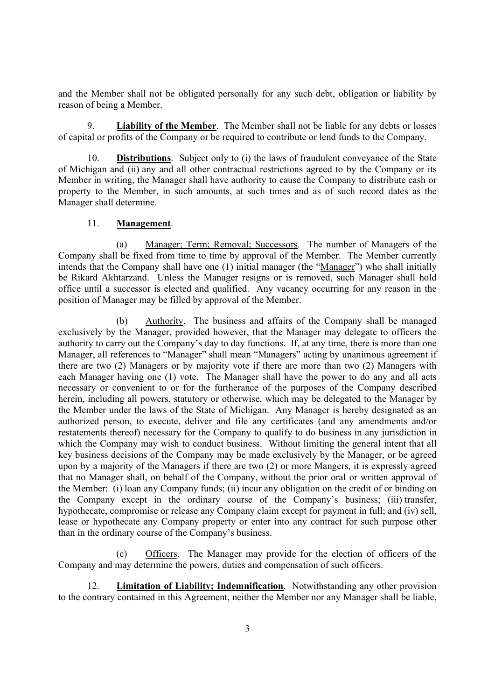and the Member shall not be obligated personally for any such debt, obligation or liability by reason of being a Member.

9. Liability of the Member. The Member shall not be liable for any debts or losses of capital or profits of the Company or be required to contribute or lend funds to the Company.

10. Distributions. Subject only to (i) the laws of fraudulent conveyance of the State of Michigan and (ii) any and all other contractual restrictions agreed to by the Company or its Member in writing, the Manager shall have authority to cause the Company to distribute cash or property to the Member, in such amounts, at such times and as of such record dates as the Manager shall determine.

## 11. Management.

(a) Manager; Term; Removal; Successors. The number of Managers of the Company shall be fixed from time to time by approval of the Member. The Member currently intends that the Company shall have one (1) initial manager (the "Manager") who shall initially be Rikard Akhtarzand. Unless the Manager resigns or is removed, such Manager shall hold office until a successor is elected and qualified. Any vacancy occurring for any reason in the position of Manager may be filled by approval of the Member.

(b) Authority. The business and affairs of the Company shall be managed exclusively by the Manager, provided however, that the Manager may delegate to officers the authority to carry out the Company's day to day functions. If, at any time, there is more than one Manager, all references to "Manager" shall mean "Managers" acting by unanimous agreement if there are two (2) Managers or by majority vote if there are more than two (2) Managers with each Manager having one (1) vote. The Manager shall have the power to do any and all acts necessary or convenient to or for the furtherance of the purposes of the Company described herein, including all powers, statutory or otherwise, which may be delegated to the Manager by the Member under the laws of the State of Michigan. Any Manager is hereby designated as an authorized person, to execute, deliver and file any certificates (and any amendments and/or restatements thereof) necessary for the Company to qualify to do business in any jurisdiction in which the Company may wish to conduct business. Without limiting the general intent that all key business decisions of the Company may be made exclusively by the Manager, or be agreed upon by a majority of the Managers if there are two (2) or more Mangers, it is expressly agreed that no Manager shall, on behalf of the Company, without the prior oral or written approval of the Member: (i) loan any Company funds; (ii) incur any obligation on the credit of or binding on the Company except in the ordinary course of the Company's business; (iii) transfer, hypothecate, compromise or release any Company claim except for payment in full; and (iv) sell, lease or hypothecate any Company property or enter into any contract for such purpose other than in the ordinary course of the Company's business.

(c) Officers. The Manager may provide for the election of officers of the Company and may determine the powers, duties and compensation of such officers.

12. Limitation of Liability; Indemnification. Notwithstanding any other provision to the contrary contained in this Agreement, neither the Member nor any Manager shall be liable,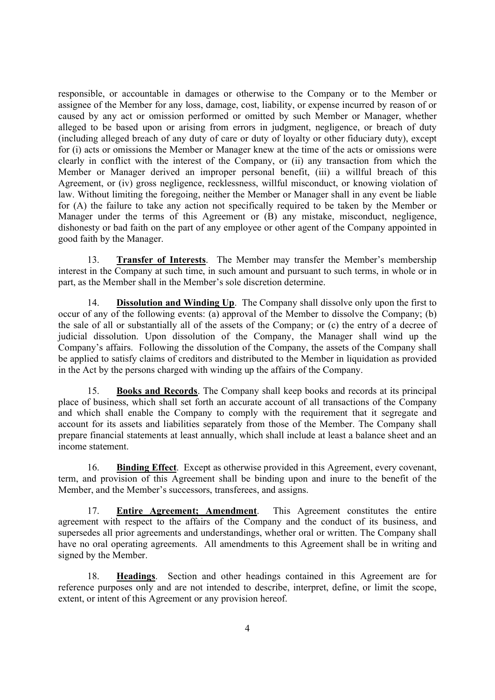responsible, or accountable in damages or otherwise to the Company or to the Member or assignee of the Member for any loss, damage, cost, liability, or expense incurred by reason of or caused by any act or omission performed or omitted by such Member or Manager, whether alleged to be based upon or arising from errors in judgment, negligence, or breach of duty (including alleged breach of any duty of care or duty of loyalty or other fiduciary duty), except for (i) acts or omissions the Member or Manager knew at the time of the acts or omissions were clearly in conflict with the interest of the Company, or (ii) any transaction from which the Member or Manager derived an improper personal benefit, (iii) a willful breach of this Agreement, or (iv) gross negligence, recklessness, willful misconduct, or knowing violation of law. Without limiting the foregoing, neither the Member or Manager shall in any event be liable for (A) the failure to take any action not specifically required to be taken by the Member or Manager under the terms of this Agreement or (B) any mistake, misconduct, negligence, dishonesty or bad faith on the part of any employee or other agent of the Company appointed in good faith by the Manager.

13. Transfer of Interests. The Member may transfer the Member's membership interest in the Company at such time, in such amount and pursuant to such terms, in whole or in part, as the Member shall in the Member's sole discretion determine.

14. Dissolution and Winding Up. The Company shall dissolve only upon the first to occur of any of the following events: (a) approval of the Member to dissolve the Company; (b) the sale of all or substantially all of the assets of the Company; or (c) the entry of a decree of judicial dissolution. Upon dissolution of the Company, the Manager shall wind up the Company's affairs. Following the dissolution of the Company, the assets of the Company shall be applied to satisfy claims of creditors and distributed to the Member in liquidation as provided in the Act by the persons charged with winding up the affairs of the Company.

15. Books and Records. The Company shall keep books and records at its principal place of business, which shall set forth an accurate account of all transactions of the Company and which shall enable the Company to comply with the requirement that it segregate and account for its assets and liabilities separately from those of the Member. The Company shall prepare financial statements at least annually, which shall include at least a balance sheet and an income statement.

16. Binding Effect. Except as otherwise provided in this Agreement, every covenant, term, and provision of this Agreement shall be binding upon and inure to the benefit of the Member, and the Member's successors, transferees, and assigns.

17. Entire Agreement; Amendment. This Agreement constitutes the entire agreement with respect to the affairs of the Company and the conduct of its business, and supersedes all prior agreements and understandings, whether oral or written. The Company shall have no oral operating agreements. All amendments to this Agreement shall be in writing and signed by the Member.

18. Headings. Section and other headings contained in this Agreement are for reference purposes only and are not intended to describe, interpret, define, or limit the scope, extent, or intent of this Agreement or any provision hereof.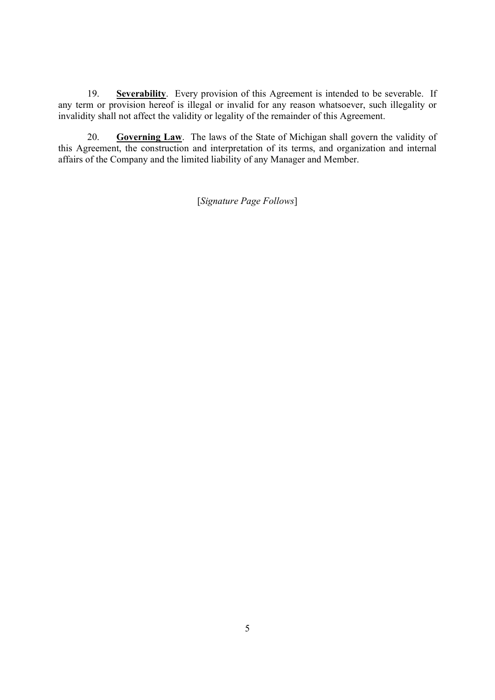19. Severability. Every provision of this Agreement is intended to be severable. If any term or provision hereof is illegal or invalid for any reason whatsoever, such illegality or invalidity shall not affect the validity or legality of the remainder of this Agreement.

20. Governing Law. The laws of the State of Michigan shall govern the validity of this Agreement, the construction and interpretation of its terms, and organization and internal affairs of the Company and the limited liability of any Manager and Member.

[Signature Page Follows]